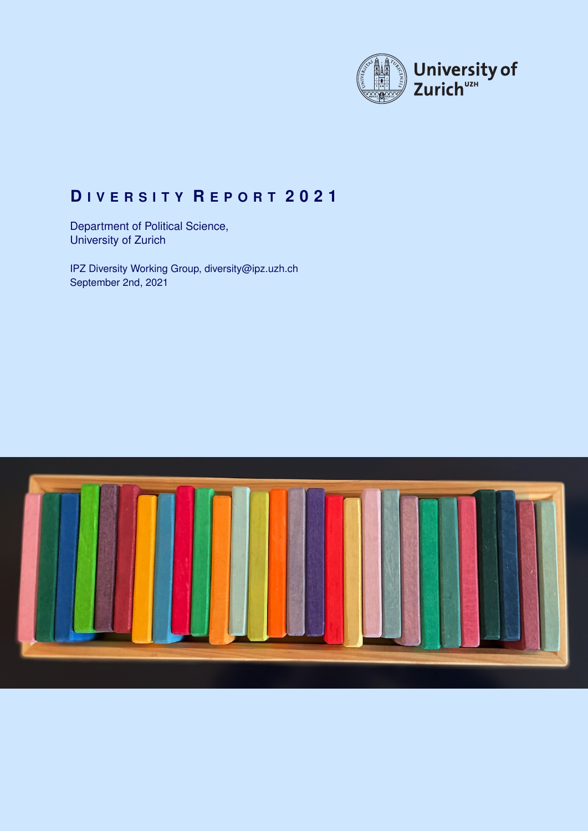

# **D I V E R S I T Y R E P O R T 2 0 2 1**

Department of Political Science, University of Zurich

IPZ Diversity Working Group, [diversity@ipz.uzh.ch](mailto:diversity@ipz.uzh.ch) September 2nd, 2021

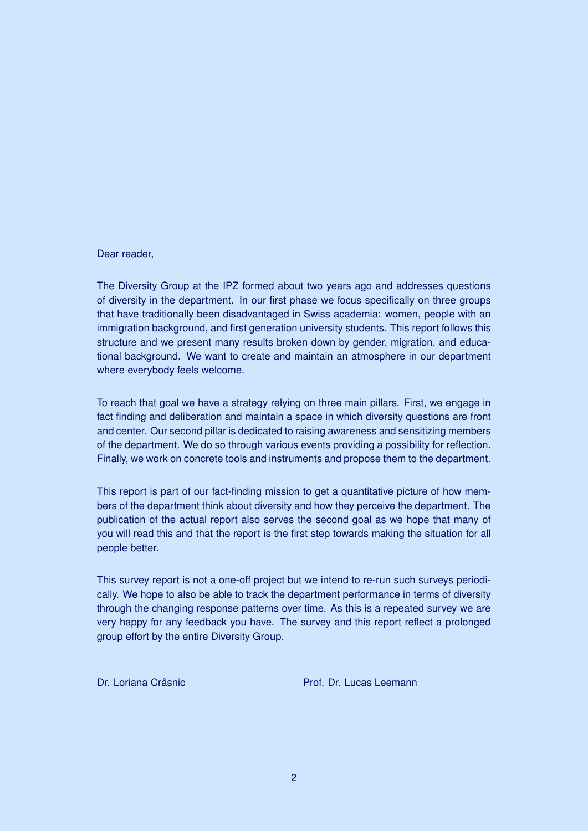## Dear reader,

The Diversity Group at the IPZ formed about two years ago and addresses questions of diversity in the department. In our first phase we focus specifically on three groups that have traditionally been disadvantaged in Swiss academia: women, people with an immigration background, and first generation university students. This report follows this structure and we present many results broken down by gender, migration, and educational background. We want to create and maintain an atmosphere in our department where everybody feels welcome.

To reach that goal we have a strategy relying on three main pillars. First, we engage in fact finding and deliberation and maintain a space in which diversity questions are front and center. Our second pillar is dedicated to raising awareness and sensitizing members of the department. We do so through various events providing a possibility for reflection. Finally, we work on concrete tools and instruments and propose them to the department.

This report is part of our fact-finding mission to get a quantitative picture of how members of the department think about diversity and how they perceive the department. The publication of the actual report also serves the second goal as we hope that many of you will read this and that the report is the first step towards making the situation for all people better.

This survey report is not a one-off project but we intend to re-run such surveys periodically. We hope to also be able to track the department performance in terms of diversity through the changing response patterns over time. As this is a repeated survey we are very happy for any feedback you have. The survey and this report reflect a prolonged group effort by the entire Diversity Group.

Dr. Loriana Crâsnic **Prof. Dr. Lucas Leemann**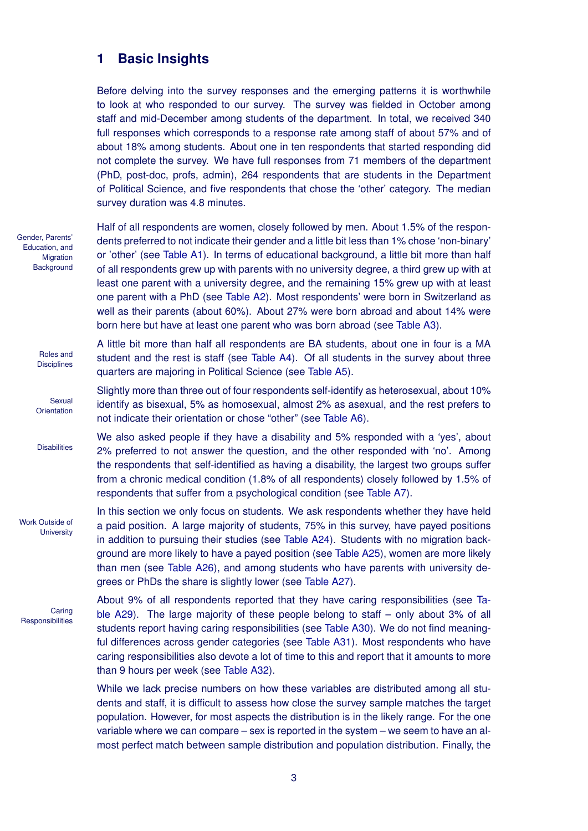## **1 Basic Insights**

Before delving into the survey responses and the emerging patterns it is worthwhile to look at who responded to our survey. The survey was fielded in October among staff and mid-December among students of the department. In total, we received 340 full responses which corresponds to a response rate among staff of about 57% and of about 18% among students. About one in ten respondents that started responding did not complete the survey. We have full responses from 71 members of the department (PhD, post-doc, profs, admin), 264 respondents that are students in the Department of Political Science, and five respondents that chose the 'other' category. The median survey duration was 4.8 minutes.

Gender, Parents' Education, and **Migration Background** 

> Roles and **Disciplines**

**Sexual Orientation** 

**Disabilities** 

Half of all respondents are women, closely followed by men. About 1.5% of the respondents preferred to not indicate their gender and a little bit less than 1% chose 'non-binary' or 'other' (see [Table A1\)](#page-9-0). In terms of educational background, a little bit more than half of all respondents grew up with parents with no university degree, a third grew up with at least one parent with a university degree, and the remaining 15% grew up with at least one parent with a PhD (see [Table A2\)](#page-9-1). Most respondents' were born in Switzerland as well as their parents (about 60%). About 27% were born abroad and about 14% were born here but have at least one parent who was born abroad (see [Table A3\)](#page-9-2).

A little bit more than half all respondents are BA students, about one in four is a MA student and the rest is staff (see [Table A4\)](#page-9-3). Of all students in the survey about three quarters are majoring in Political Science (see [Table A5\)](#page-10-0).

Slightly more than three out of four respondents self-identify as heterosexual, about 10% identify as bisexual, 5% as homosexual, almost 2% as asexual, and the rest prefers to not indicate their orientation or chose "other" (see [Table A6\)](#page-10-1).

We also asked people if they have a disability and 5% responded with a 'yes', about 2% preferred to not answer the question, and the other responded with 'no'. Among the respondents that self-identified as having a disability, the largest two groups suffer from a chronic medical condition (1.8% of all respondents) closely followed by 1.5% of respondents that suffer from a psychological condition (see [Table A7\)](#page-10-2).

In this section we only focus on students. We ask respondents whether they have held a paid position. A large majority of students, 75% in this survey, have payed positions in addition to pursuing their studies (see [Table A24\)](#page-15-0). Students with no migration background are more likely to have a payed position (see [Table A25\)](#page-15-1), women are more likely than men (see [Table A26\)](#page-15-2), and among students who have parents with university degrees or PhDs the share is slightly lower (see [Table A27\)](#page-15-3).

**Caring Responsibilities** 

Work Outside of **University** 

> About 9% of all respondents reported that they have caring responsibilities (see [Ta](#page-16-0)[ble A29\)](#page-16-0). The large majority of these people belong to staff – only about 3% of all students report having caring responsibilities (see [Table A30\)](#page-16-1). We do not find meaningful differences across gender categories (see [Table A31\)](#page-16-2). Most respondents who have caring responsibilities also devote a lot of time to this and report that it amounts to more than 9 hours per week (see [Table A32\)](#page-16-3).

> While we lack precise numbers on how these variables are distributed among all students and staff, it is difficult to assess how close the survey sample matches the target population. However, for most aspects the distribution is in the likely range. For the one variable where we can compare – sex is reported in the system – we seem to have an almost perfect match between sample distribution and population distribution. Finally, the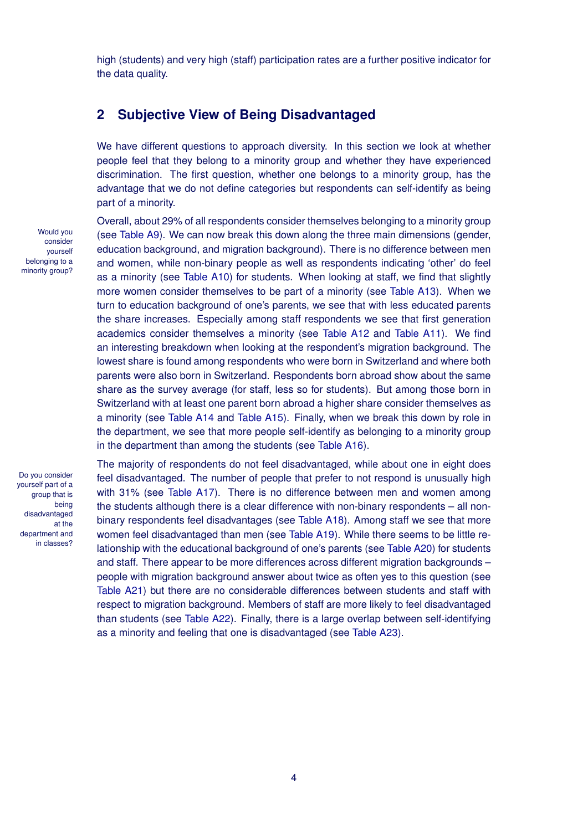high (students) and very high (staff) participation rates are a further positive indicator for the data quality.

## **2 Subjective View of Being Disadvantaged**

We have different questions to approach diversity. In this section we look at whether people feel that they belong to a minority group and whether they have experienced discrimination. The first question, whether one belongs to a minority group, has the advantage that we do not define categories but respondents can self-identify as being part of a minority.

Would you consider yourself belonging to a minority group?

Overall, about 29% of all respondents consider themselves belonging to a minority group (see [Table A9\)](#page-11-0). We can now break this down along the three main dimensions (gender, education background, and migration background). There is no difference between men and women, while non-binary people as well as respondents indicating 'other' do feel as a minority (see [Table A10\)](#page-11-1) for students. When looking at staff, we find that slightly more women consider themselves to be part of a minority (see [Table A13\)](#page-11-2). When we turn to education background of one's parents, we see that with less educated parents the share increases. Especially among staff respondents we see that first generation academics consider themselves a minority (see [Table A12](#page-11-3) and [Table A11\)](#page-11-4). We find an interesting breakdown when looking at the respondent's migration background. The lowest share is found among respondents who were born in Switzerland and where both parents were also born in Switzerland. Respondents born abroad show about the same share as the survey average (for staff, less so for students). But among those born in Switzerland with at least one parent born abroad a higher share consider themselves as a minority (see [Table A14](#page-12-0) and [Table A15\)](#page-12-1). Finally, when we break this down by role in the department, we see that more people self-identify as belonging to a minority group in the department than among the students (see [Table A16\)](#page-12-2).

Do you consider yourself part of a group that is being disadvantaged at the department and in classes?

The majority of respondents do not feel disadvantaged, while about one in eight does feel disadvantaged. The number of people that prefer to not respond is unusually high with 31% (see [Table A17\)](#page-13-0). There is no difference between men and women among the students although there is a clear difference with non-binary respondents – all nonbinary respondents feel disadvantages (see [Table A18\)](#page-13-1). Among staff we see that more women feel disadvantaged than men (see [Table A19\)](#page-13-2). While there seems to be little relationship with the educational background of one's parents (see [Table A20\)](#page-13-3) for students and staff. There appear to be more differences across different migration backgrounds – people with migration background answer about twice as often yes to this question (see [Table A21\)](#page-13-4) but there are no considerable differences between students and staff with respect to migration background. Members of staff are more likely to feel disadvantaged than students (see [Table A22\)](#page-14-0). Finally, there is a large overlap between self-identifying as a minority and feeling that one is disadvantaged (see [Table A23\)](#page-14-1).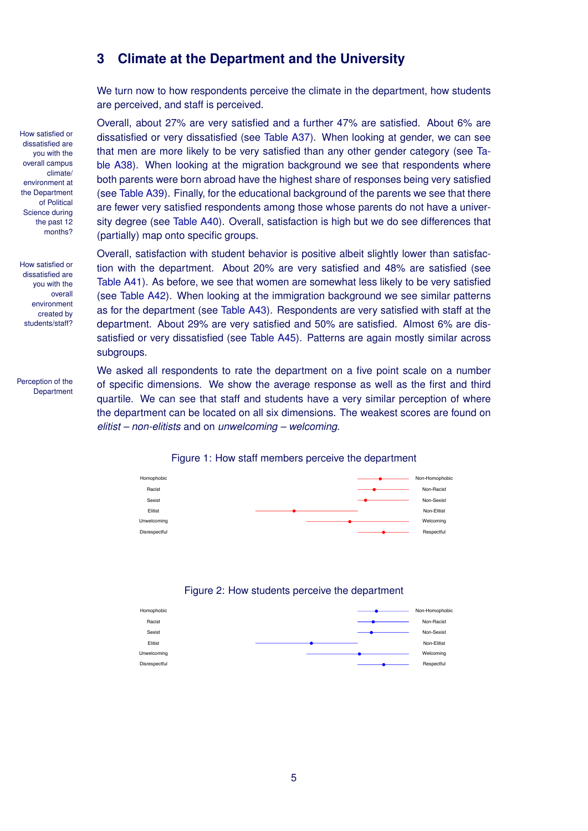## **3 Climate at the Department and the University**

We turn now to how respondents perceive the climate in the department, how students are perceived, and staff is perceived.

Overall, about 27% are very satisfied and a further 47% are satisfied. About 6% are dissatisfied or very dissatisfied (see [Table A37\)](#page-18-0). When looking at gender, we can see that men are more likely to be very satisfied than any other gender category (see [Ta](#page-18-1)[ble A38\)](#page-18-1). When looking at the migration background we see that respondents where both parents were born abroad have the highest share of responses being very satisfied (see [Table A39\)](#page-18-2). Finally, for the educational background of the parents we see that there are fewer very satisfied respondents among those whose parents do not have a university degree (see [Table A40\)](#page-18-3). Overall, satisfaction is high but we do see differences that (partially) map onto specific groups.

Overall, satisfaction with student behavior is positive albeit slightly lower than satisfaction with the department. About 20% are very satisfied and 48% are satisfied (see [Table A41\)](#page-19-0). As before, we see that women are somewhat less likely to be very satisfied (see [Table A42\)](#page-19-1). When looking at the immigration background we see similar patterns as for the department (see [Table A43\)](#page-19-2). Respondents are very satisfied with staff at the department. About 29% are very satisfied and 50% are satisfied. Almost 6% are dissatisfied or very dissatisfied (see [Table A45\)](#page-20-0). Patterns are again mostly similar across subgroups.

We asked all respondents to rate the department on a five point scale on a number of specific dimensions. We show the average response as well as the first and third quartile. We can see that staff and students have a very similar perception of where the department can be located on all six dimensions. The weakest scores are found on *elitist – non-elitists* and on *unwelcoming – welcoming*.



#### Figure 1: How staff members perceive the department

#### Figure 2: How students perceive the department



How satisfied or dissatisfied are you with the overall campus climate/ environment at the Department of Political Science during the past 12 months?

How satisfied or dissatisfied are you with the overall environment created by students/staff?

Perception of the **Department**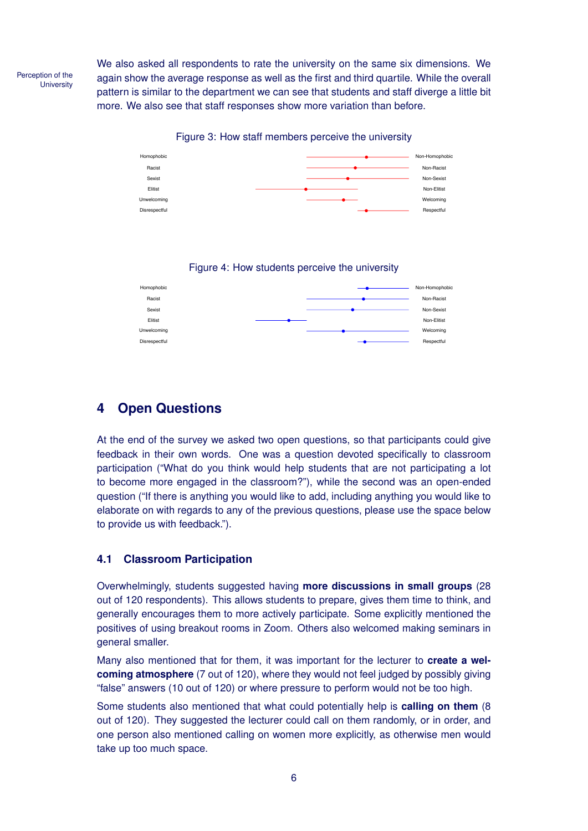Perception of the **University** 

We also asked all respondents to rate the university on the same six dimensions. We again show the average response as well as the first and third quartile. While the overall pattern is similar to the department we can see that students and staff diverge a little bit more. We also see that staff responses show more variation than before.

Figure 3: How staff members perceive the university



## Figure 4: How students perceive the university



## **4 Open Questions**

At the end of the survey we asked two open questions, so that participants could give feedback in their own words. One was a question devoted specifically to classroom participation ("What do you think would help students that are not participating a lot to become more engaged in the classroom?"), while the second was an open-ended question ("If there is anything you would like to add, including anything you would like to elaborate on with regards to any of the previous questions, please use the space below to provide us with feedback.").

## **4.1 Classroom Participation**

Overwhelmingly, students suggested having **more discussions in small groups** (28 out of 120 respondents). This allows students to prepare, gives them time to think, and generally encourages them to more actively participate. Some explicitly mentioned the positives of using breakout rooms in Zoom. Others also welcomed making seminars in general smaller.

Many also mentioned that for them, it was important for the lecturer to **create a welcoming atmosphere** (7 out of 120), where they would not feel judged by possibly giving "false" answers (10 out of 120) or where pressure to perform would not be too high.

Some students also mentioned that what could potentially help is **calling on them** (8 out of 120). They suggested the lecturer could call on them randomly, or in order, and one person also mentioned calling on women more explicitly, as otherwise men would take up too much space.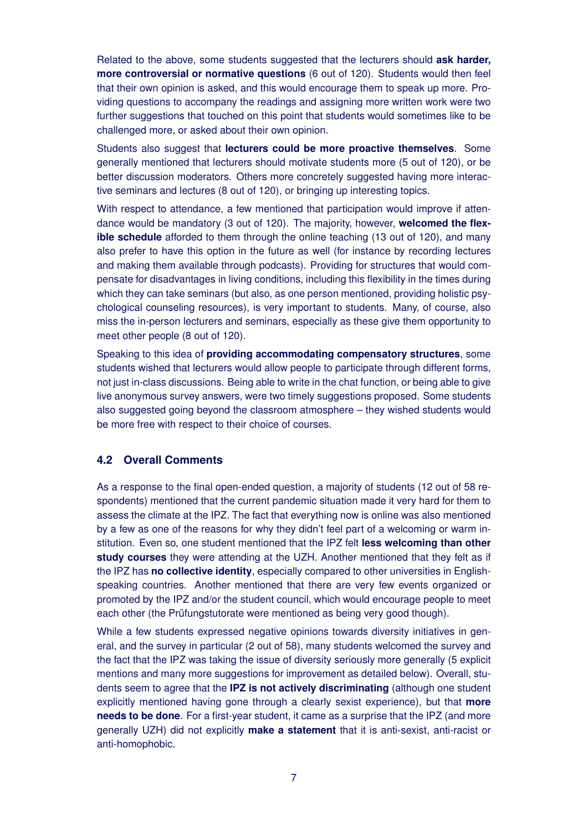Related to the above, some students suggested that the lecturers should **ask harder, more controversial or normative questions** (6 out of 120). Students would then feel that their own opinion is asked, and this would encourage them to speak up more. Providing questions to accompany the readings and assigning more written work were two further suggestions that touched on this point that students would sometimes like to be challenged more, or asked about their own opinion.

Students also suggest that **lecturers could be more proactive themselves**. Some generally mentioned that lecturers should motivate students more (5 out of 120), or be better discussion moderators. Others more concretely suggested having more interactive seminars and lectures (8 out of 120), or bringing up interesting topics.

With respect to attendance, a few mentioned that participation would improve if attendance would be mandatory (3 out of 120). The majority, however, **welcomed the flexible schedule** afforded to them through the online teaching (13 out of 120), and many also prefer to have this option in the future as well (for instance by recording lectures and making them available through podcasts). Providing for structures that would compensate for disadvantages in living conditions, including this flexibility in the times during which they can take seminars (but also, as one person mentioned, providing holistic psychological counseling resources), is very important to students. Many, of course, also miss the in-person lecturers and seminars, especially as these give them opportunity to meet other people (8 out of 120).

Speaking to this idea of **providing accommodating compensatory structures**, some students wished that lecturers would allow people to participate through different forms, not just in-class discussions. Being able to write in the chat function, or being able to give live anonymous survey answers, were two timely suggestions proposed. Some students also suggested going beyond the classroom atmosphere – they wished students would be more free with respect to their choice of courses.

## <span id="page-6-0"></span>**4.2 Overall Comments**

As a response to the final open-ended question, a majority of students (12 out of 58 respondents) mentioned that the current pandemic situation made it very hard for them to assess the climate at the IPZ. The fact that everything now is online was also mentioned by a few as one of the reasons for why they didn't feel part of a welcoming or warm institution. Even so, one student mentioned that the IPZ felt **less welcoming than other study courses** they were attending at the UZH. Another mentioned that they felt as if the IPZ has **no collective identity**, especially compared to other universities in Englishspeaking countries. Another mentioned that there are very few events organized or promoted by the IPZ and/or the student council, which would encourage people to meet each other (the Prüfungstutorate were mentioned as being very good though).

While a few students expressed negative opinions towards diversity initiatives in general, and the survey in particular (2 out of 58), many students welcomed the survey and the fact that the IPZ was taking the issue of diversity seriously more generally (5 explicit mentions and many more suggestions for improvement as detailed below). Overall, students seem to agree that the **IPZ is not actively discriminating** (although one student explicitly mentioned having gone through a clearly sexist experience), but that **more needs to be done**. For a first-year student, it came as a surprise that the IPZ (and more generally UZH) did not explicitly **make a statement** that it is anti-sexist, anti-racist or anti-homophobic.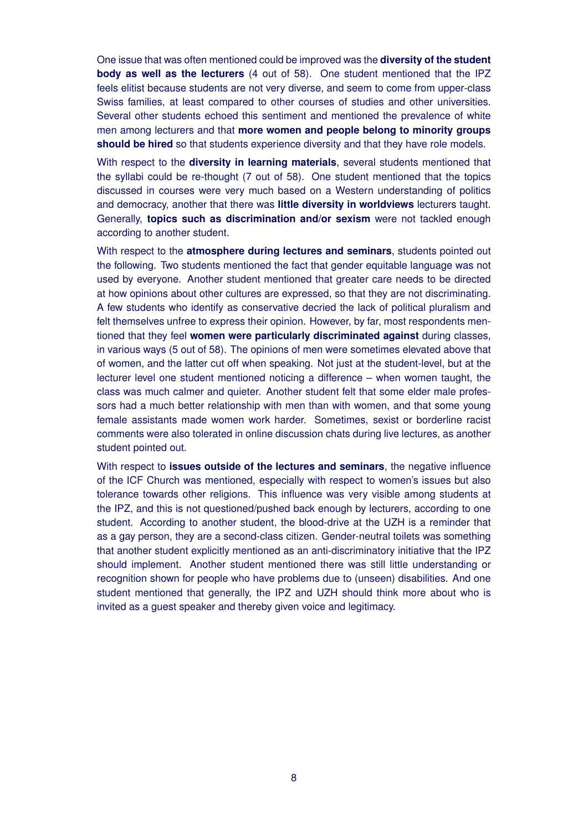One issue that was often mentioned could be improved was the **diversity of the student body as well as the lecturers** (4 out of 58). One student mentioned that the IPZ feels elitist because students are not very diverse, and seem to come from upper-class Swiss families, at least compared to other courses of studies and other universities. Several other students echoed this sentiment and mentioned the prevalence of white men among lecturers and that **more women and people belong to minority groups should be hired** so that students experience diversity and that they have role models.

With respect to the **diversity in learning materials**, several students mentioned that the syllabi could be re-thought (7 out of 58). One student mentioned that the topics discussed in courses were very much based on a Western understanding of politics and democracy, another that there was **little diversity in worldviews** lecturers taught. Generally, **topics such as discrimination and/or sexism** were not tackled enough according to another student.

With respect to the **atmosphere during lectures and seminars**, students pointed out the following. Two students mentioned the fact that gender equitable language was not used by everyone. Another student mentioned that greater care needs to be directed at how opinions about other cultures are expressed, so that they are not discriminating. A few students who identify as conservative decried the lack of political pluralism and felt themselves unfree to express their opinion. However, by far, most respondents mentioned that they feel **women were particularly discriminated against** during classes, in various ways (5 out of 58). The opinions of men were sometimes elevated above that of women, and the latter cut off when speaking. Not just at the student-level, but at the lecturer level one student mentioned noticing a difference – when women taught, the class was much calmer and quieter. Another student felt that some elder male professors had a much better relationship with men than with women, and that some young female assistants made women work harder. Sometimes, sexist or borderline racist comments were also tolerated in online discussion chats during live lectures, as another student pointed out.

With respect to **issues outside of the lectures and seminars**, the negative influence of the ICF Church was mentioned, especially with respect to women's issues but also tolerance towards other religions. This influence was very visible among students at the IPZ, and this is not questioned/pushed back enough by lecturers, according to one student. According to another student, the blood-drive at the UZH is a reminder that as a gay person, they are a second-class citizen. Gender-neutral toilets was something that another student explicitly mentioned as an anti-discriminatory initiative that the IPZ should implement. Another student mentioned there was still little understanding or recognition shown for people who have problems due to (unseen) disabilities. And one student mentioned that generally, the IPZ and UZH should think more about who is invited as a guest speaker and thereby given voice and legitimacy.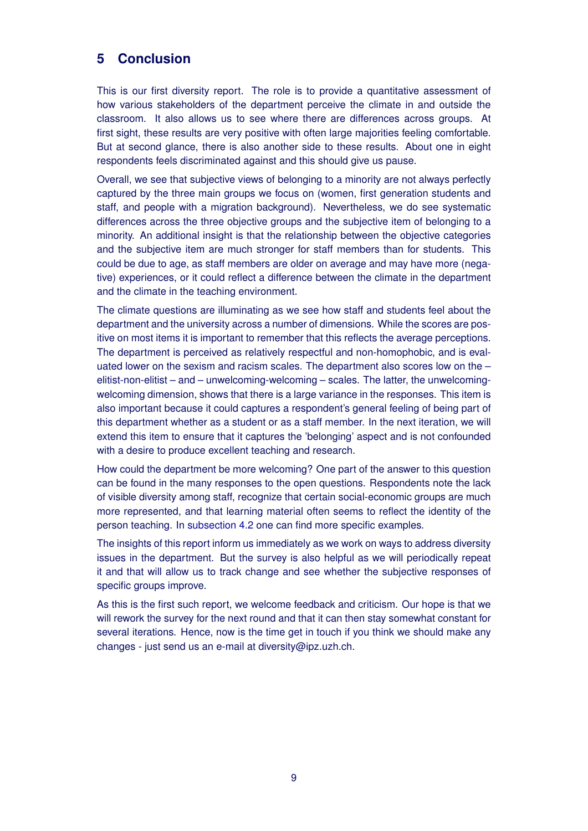## **5 Conclusion**

This is our first diversity report. The role is to provide a quantitative assessment of how various stakeholders of the department perceive the climate in and outside the classroom. It also allows us to see where there are differences across groups. At first sight, these results are very positive with often large majorities feeling comfortable. But at second glance, there is also another side to these results. About one in eight respondents feels discriminated against and this should give us pause.

Overall, we see that subjective views of belonging to a minority are not always perfectly captured by the three main groups we focus on (women, first generation students and staff, and people with a migration background). Nevertheless, we do see systematic differences across the three objective groups and the subjective item of belonging to a minority. An additional insight is that the relationship between the objective categories and the subjective item are much stronger for staff members than for students. This could be due to age, as staff members are older on average and may have more (negative) experiences, or it could reflect a difference between the climate in the department and the climate in the teaching environment.

The climate questions are illuminating as we see how staff and students feel about the department and the university across a number of dimensions. While the scores are positive on most items it is important to remember that this reflects the average perceptions. The department is perceived as relatively respectful and non-homophobic, and is evaluated lower on the sexism and racism scales. The department also scores low on the – elitist-non-elitist – and – unwelcoming-welcoming – scales. The latter, the unwelcomingwelcoming dimension, shows that there is a large variance in the responses. This item is also important because it could captures a respondent's general feeling of being part of this department whether as a student or as a staff member. In the next iteration, we will extend this item to ensure that it captures the 'belonging' aspect and is not confounded with a desire to produce excellent teaching and research.

How could the department be more welcoming? One part of the answer to this question can be found in the many responses to the open questions. Respondents note the lack of visible diversity among staff, recognize that certain social-economic groups are much more represented, and that learning material often seems to reflect the identity of the person teaching. In [subsection 4.2](#page-6-0) one can find more specific examples.

The insights of this report inform us immediately as we work on ways to address diversity issues in the department. But the survey is also helpful as we will periodically repeat it and that will allow us to track change and see whether the subjective responses of specific groups improve.

As this is the first such report, we welcome feedback and criticism. Our hope is that we will rework the survey for the next round and that it can then stay somewhat constant for several iterations. Hence, now is the time get in touch if you think we should make any changes - just send us an e-mail at [diversity@ipz.uzh.ch.](mailto:diversity@ipz.uzh.ch)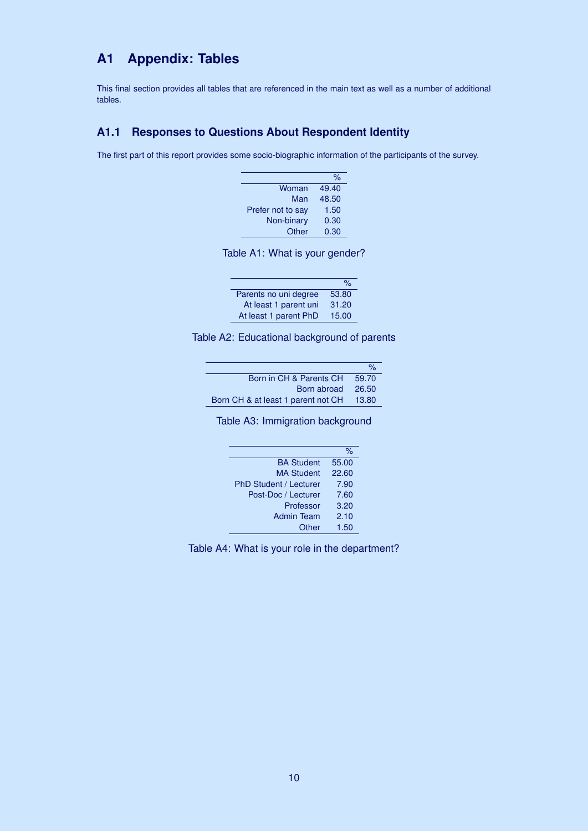## **A1 Appendix: Tables**

This final section provides all tables that are referenced in the main text as well as a number of additional tables.

## **A1.1 Responses to Questions About Respondent Identity**

The first part of this report provides some socio-biographic information of the participants of the survey.

|                   | %     |
|-------------------|-------|
| Woman             | 49.40 |
| Man               | 48.50 |
| Prefer not to say | 1.50  |
| Non-binary        | 0.30  |
| Other             | 0.30  |
|                   |       |

<span id="page-9-0"></span>

|  | Table A1: What is your gender? |  |  |  |  |  |  |
|--|--------------------------------|--|--|--|--|--|--|
|--|--------------------------------|--|--|--|--|--|--|

|                       | $\frac{1}{2}$ |
|-----------------------|---------------|
| Parents no uni degree | 53.80         |
| At least 1 parent uni | 31.20         |
| At least 1 parent PhD | 15.00         |
|                       |               |

Table A2: Educational background of parents

<span id="page-9-1"></span>

|                                    | $\frac{1}{2}$ |
|------------------------------------|---------------|
| Born in CH & Parents CH            | 59.70         |
| Born abroad                        | 26.50         |
| Born CH & at least 1 parent not CH | 13.80         |
|                                    |               |

<span id="page-9-2"></span>Table A3: Immigration background

|                               | %     |
|-------------------------------|-------|
| <b>BA Student</b>             | 55.00 |
| <b>MA Student</b>             | 22.60 |
| <b>PhD Student / Lecturer</b> | 7.90  |
| Post-Doc / Lecturer           | 7.60  |
| Professor                     | 3.20  |
| <b>Admin Team</b>             | 2.10  |
| Other                         | 1.50  |
|                               |       |

<span id="page-9-3"></span>Table A4: What is your role in the department?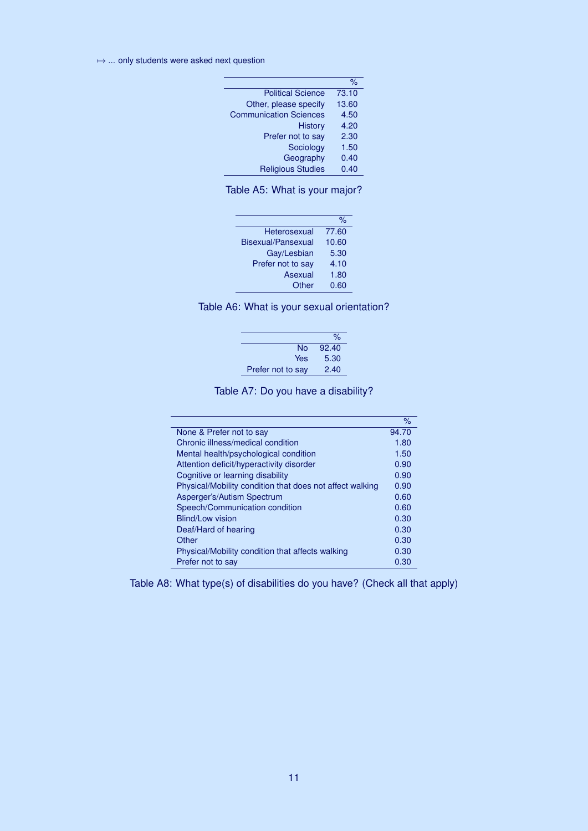L

|                               | %     |
|-------------------------------|-------|
| <b>Political Science</b>      | 73.10 |
| Other, please specify         | 13.60 |
| <b>Communication Sciences</b> | 4.50  |
| <b>History</b>                | 4.20  |
| Prefer not to say             | 2.30  |
| Sociology                     | 1.50  |
| Geography                     | 0.40  |
| <b>Religious Studies</b>      | 0.40  |

<span id="page-10-0"></span>Table A5: What is your major?

|                    | %     |
|--------------------|-------|
| Heterosexual       | 77.60 |
| Bisexual/Pansexual | 10.60 |
| Gay/Lesbian        | 5.30  |
| Prefer not to say  | 4.10  |
| Asexual            | 1.80  |
| Other              | 0.60  |
|                    |       |

<span id="page-10-1"></span>

|                   | $\%$  |
|-------------------|-------|
| N٥                | 92.40 |
| Yes               | 5.30  |
| Prefer not to say | 2.40  |

<span id="page-10-2"></span>Table A7: Do you have a disability?

|                                                          | $\%$  |
|----------------------------------------------------------|-------|
| None & Prefer not to say                                 | 94.70 |
| Chronic illness/medical condition                        | 1.80  |
| Mental health/psychological condition                    | 1.50  |
| Attention deficit/hyperactivity disorder                 | 0.90  |
| Cognitive or learning disability                         | 0.90  |
| Physical/Mobility condition that does not affect walking | 0.90  |
| Asperger's/Autism Spectrum                               | 0.60  |
| Speech/Communication condition                           | 0.60  |
| Blind/Low vision                                         | 0.30  |
| Deaf/Hard of hearing                                     | 0.30  |
| Other                                                    | 0.30  |
| Physical/Mobility condition that affects walking         | 0.30  |
| Prefer not to say                                        | 0.30  |

Table A8: What type(s) of disabilities do you have? (Check all that apply)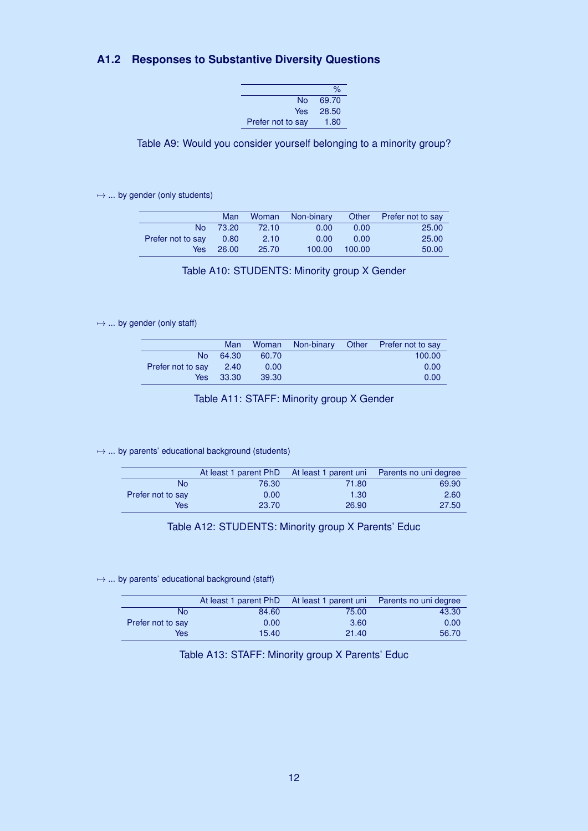## **A1.2 Responses to Substantive Diversity Questions**

|                   | $\%$  |
|-------------------|-------|
| N٥                | 69.70 |
| Yes               | 28.50 |
| Prefer not to say | 1.80  |

<span id="page-11-0"></span>Table A9: Would you consider yourself belonging to a minority group?

 $\mapsto$  ... by gender (only students)

|                   | Man   | Woman | Non-binary | Other  | <b>Prefer not to say</b> |
|-------------------|-------|-------|------------|--------|--------------------------|
| No.               | 73.20 | 72.10 | 0.00       | 0.00   | 25.00                    |
| Prefer not to say | 0.80  | 2.10  | 0.00       | 0.00   | 25.00                    |
| Yes               | 26.00 | 25.70 | 100.00     | 100.00 | 50.00                    |

<span id="page-11-1"></span>Table A10: STUDENTS: Minority group X Gender

## $\mapsto$  ... by gender (only staff)

|                   | Man   | Woman |  | Non-binary Other Prefer not to say |
|-------------------|-------|-------|--|------------------------------------|
| <b>No</b>         | 64.30 | 60.70 |  | 100.00                             |
| Prefer not to say | 2.40  | 0.00  |  | 0.00                               |
| Yes               | 33.30 | 39.30 |  | 0.00                               |

<span id="page-11-4"></span>Table A11: STAFF: Minority group X Gender

#### $\mapsto$  ... by parents' educational background (students)

|                   |       |       | At least 1 parent PhD At least 1 parent uni Parents no uni degree |
|-------------------|-------|-------|-------------------------------------------------------------------|
| No                | 76.30 | 71.80 | 69.90                                                             |
| Prefer not to say | 0.00  | 1.30  | 2.60                                                              |
| Yes               | 23.70 | 26.90 | 27.50                                                             |

<span id="page-11-3"></span>Table A12: STUDENTS: Minority group X Parents' Educ

 $\mapsto$  ... by parents' educational background (staff)

|                   |       |       | At least 1 parent PhD At least 1 parent uni Parents no uni degree |
|-------------------|-------|-------|-------------------------------------------------------------------|
| No                | 84.60 | 75.00 | 43.30                                                             |
| Prefer not to say | 0.00  | 3.60  | 0.00                                                              |
| Yes               | 15.40 | 21.40 | 56.70                                                             |

<span id="page-11-2"></span>Table A13: STAFF: Minority group X Parents' Educ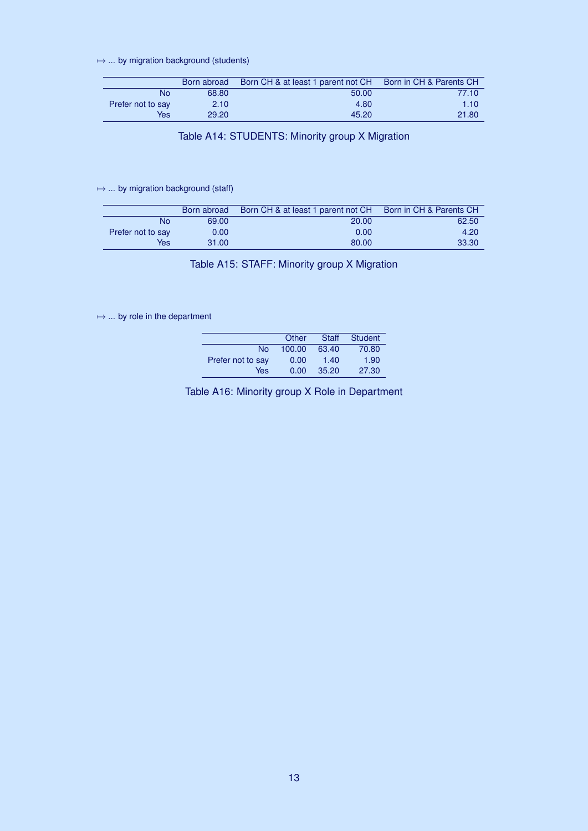$\mapsto$  ... by migration background (students)

|                   | Born abroad | Born CH & at least 1 parent not CH Born in CH & Parents CH |       |
|-------------------|-------------|------------------------------------------------------------|-------|
| No                | 68.80       | 50.00                                                      | 77.10 |
| Prefer not to say | 2.10        | 4.80                                                       | 1.10  |
| Yes               | 29.20       | 45.20                                                      | 21.80 |

<span id="page-12-0"></span>Table A14: STUDENTS: Minority group X Migration

### $\mapsto$  ... by migration background (staff)

|                   | Born abroad | Born CH & at least 1 parent not CH Born in CH & Parents CH |       |
|-------------------|-------------|------------------------------------------------------------|-------|
| No                | 69.00       | 20.00                                                      | 62.50 |
| Prefer not to say | 0.00        | 0.00                                                       | 4.20  |
| Yes               | 31.00       | 80.00                                                      | 33.30 |

<span id="page-12-1"></span>Table A15: STAFF: Minority group X Migration

 $\mapsto$  ... by role in the department

|                   | Other  | Staff | Student |
|-------------------|--------|-------|---------|
| No                | 100.00 | 63.40 | 70.80   |
| Prefer not to say | 0.00   | 1.40  | 1.90    |
| Yes               | 0.00   | 35.20 | 27.30   |

<span id="page-12-2"></span>Table A16: Minority group X Role in Department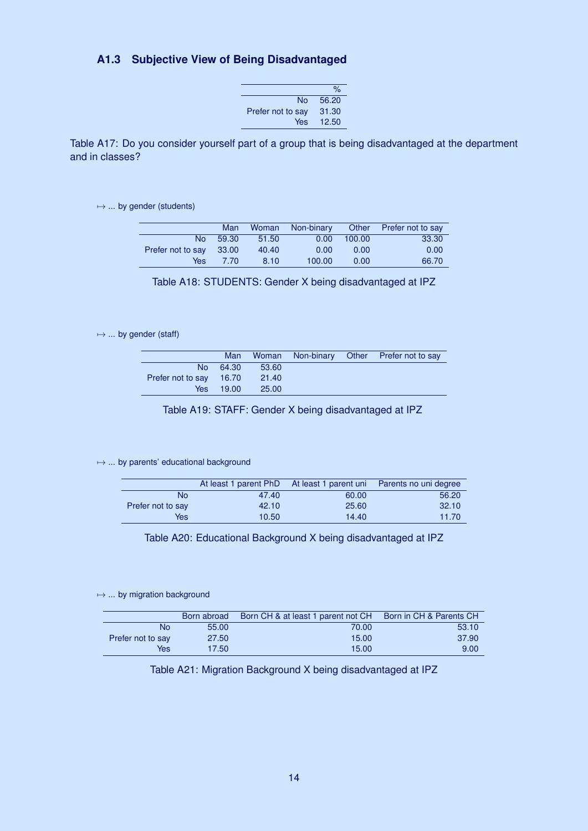## **A1.3 Subjective View of Being Disadvantaged**

|                   | $\frac{9}{6}$ |
|-------------------|---------------|
| N٥                | 56.20         |
| Prefer not to say | 31.30         |
| Yes               | 12.50         |

<span id="page-13-0"></span>Table A17: Do you consider yourself part of a group that is being disadvantaged at the department and in classes?

 $\mapsto$  ... by gender (students)

|                   | Man   | Woman | Non-binary | Other  | <b>Prefer not to say</b> |
|-------------------|-------|-------|------------|--------|--------------------------|
| No.               | 59.30 | 51.50 | 0.00       | 100.00 | 33.30                    |
| Prefer not to say | 33.00 | 40.40 | 0.00       | 0.00   | 0.00                     |
| Yes               | 7.70  | 8.10  | 100.00     | 0.00   | 66.70                    |

<span id="page-13-1"></span>Table A18: STUDENTS: Gender X being disadvantaged at IPZ

#### $\mapsto$  ... by gender (staff)

|                         | Man   |       |  | Woman Non-binary Other Prefer not to say |
|-------------------------|-------|-------|--|------------------------------------------|
| No.                     | 64.30 | 53.60 |  |                                          |
| Prefer not to say 16.70 |       | 21.40 |  |                                          |
| Yes                     | 19.00 | 25.00 |  |                                          |

<span id="page-13-2"></span>Table A19: STAFF: Gender X being disadvantaged at IPZ

#### $\mapsto$  ... by parents' educational background

|                   |       |       | At least 1 parent PhD At least 1 parent uni Parents no uni degree |
|-------------------|-------|-------|-------------------------------------------------------------------|
| No                | 47.40 | 60.00 | 56.20                                                             |
| Prefer not to say | 42.10 | 25.60 | 32.10                                                             |
| Yes               | 10.50 | 14.40 | 11.70                                                             |

<span id="page-13-3"></span>Table A20: Educational Background X being disadvantaged at IPZ

 $\mapsto$  ... by migration background

|                   | Born abroad | Born CH & at least 1 parent not CH Born in CH & Parents CH |       |
|-------------------|-------------|------------------------------------------------------------|-------|
| No                | 55.00       | 70.00                                                      | 53.10 |
| Prefer not to say | 27.50       | 15.00                                                      | 37.90 |
| Yes               | 17.50       | 15.00                                                      | 9.00  |

## <span id="page-13-4"></span>Table A21: Migration Background X being disadvantaged at IPZ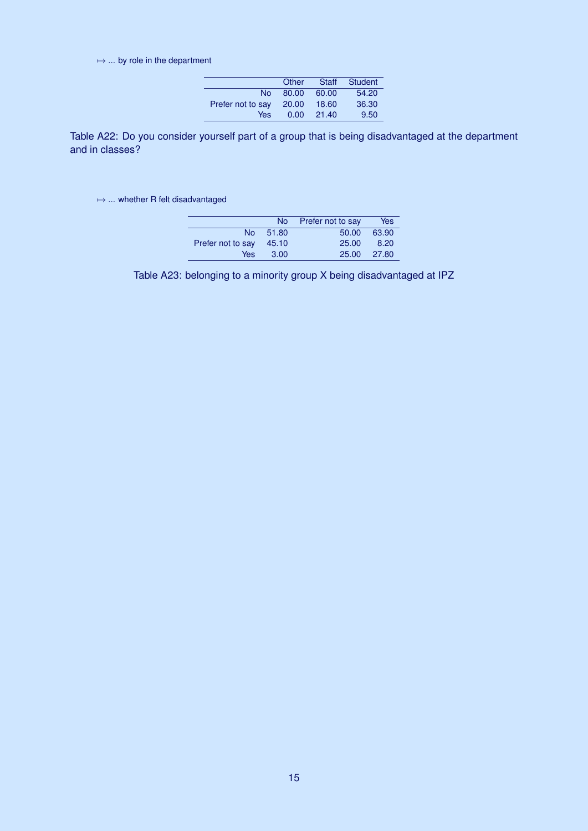$\mapsto$  ... by role in the department

|                   | Other | Staff | Student |
|-------------------|-------|-------|---------|
| No.               | 80.00 | 60.00 | 54.20   |
| Prefer not to say | 20.00 | 18.60 | 36.30   |
| Yes               | 0.00  | 21.40 | 9.50    |

<span id="page-14-0"></span>Table A22: Do you consider yourself part of a group that is being disadvantaged at the department and in classes?

 $\mapsto$  ... whether R felt disadvantaged

<span id="page-14-1"></span>

|                   |          | No Prefer not to say | Yes   |
|-------------------|----------|----------------------|-------|
|                   | No 51.80 | 50.00                | 63.90 |
| Prefer not to say | - 45.10  | 25.00                | 8.20  |
| Yes               | 3.00     | 25.00                | 27.80 |

Table A23: belonging to a minority group X being disadvantaged at IPZ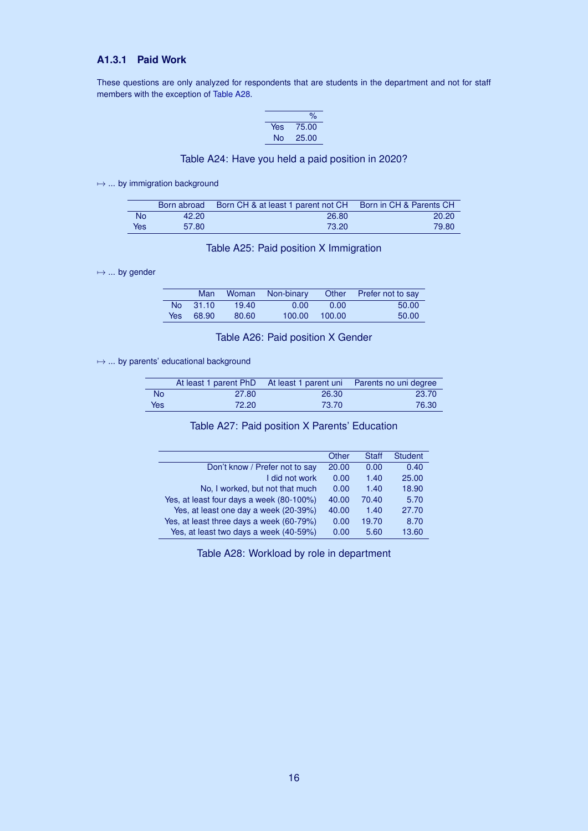## **A1.3.1 Paid Work**

These questions are only analyzed for respondents that are students in the department and not for staff members with the exception of [Table A28.](#page-15-4)

<span id="page-15-0"></span>

|     | %     |
|-----|-------|
| Yes | 75.00 |
| No  | 25.00 |

### Table A24: Have you held a paid position in 2020?

 $\mapsto$  ... by immigration background

|           |       | Born abroad Born CH & at least 1 parent not CH | Born in CH & Parents CH |
|-----------|-------|------------------------------------------------|-------------------------|
| <b>No</b> | 42.20 | 26.80                                          | 20.20                   |
| Yes       | 57.80 | 73.20                                          | 79.80                   |

### <span id="page-15-1"></span>Table A25: Paid position X Immigration

 $\mapsto$  ... by gender

| Woman Non-binary<br>Man |          |       |        | Other Prefer not to say |       |
|-------------------------|----------|-------|--------|-------------------------|-------|
|                         | No 31.10 | 19.40 | 0.00   | 0.00                    | 50.00 |
| Yes                     | 68.90    | 80.60 | 100.00 | 100.00                  | 50.00 |

### <span id="page-15-2"></span>Table A26: Paid position X Gender

 $\mapsto$  ... by parents' educational background

|            |       |       | At least 1 parent PhD At least 1 parent uni Parents no uni degree |
|------------|-------|-------|-------------------------------------------------------------------|
| <b>No</b>  | 27.80 | 26.30 | 23.70                                                             |
| <b>Yes</b> | 72.20 | 73.70 | 76.30                                                             |

### <span id="page-15-3"></span>Table A27: Paid position X Parents' Education

|                                          | Other | <b>Staff</b> | <b>Student</b> |
|------------------------------------------|-------|--------------|----------------|
| Don't know / Prefer not to say           | 20.00 | 0.00         | 0.40           |
| I did not work                           | 0.00  | 1.40         | 25.00          |
| No, I worked, but not that much          | 0.00  | 1.40         | 18.90          |
| Yes, at least four days a week (80-100%) | 40.00 | 70.40        | 5.70           |
| Yes, at least one day a week (20-39%)    | 40.00 | 1.40         | 27.70          |
| Yes, at least three days a week (60-79%) | 0.00  | 19.70        | 8.70           |
| Yes, at least two days a week (40-59%)   | 0.00  | 5.60         | 13.60          |
|                                          |       |              |                |

<span id="page-15-4"></span>Table A28: Workload by role in department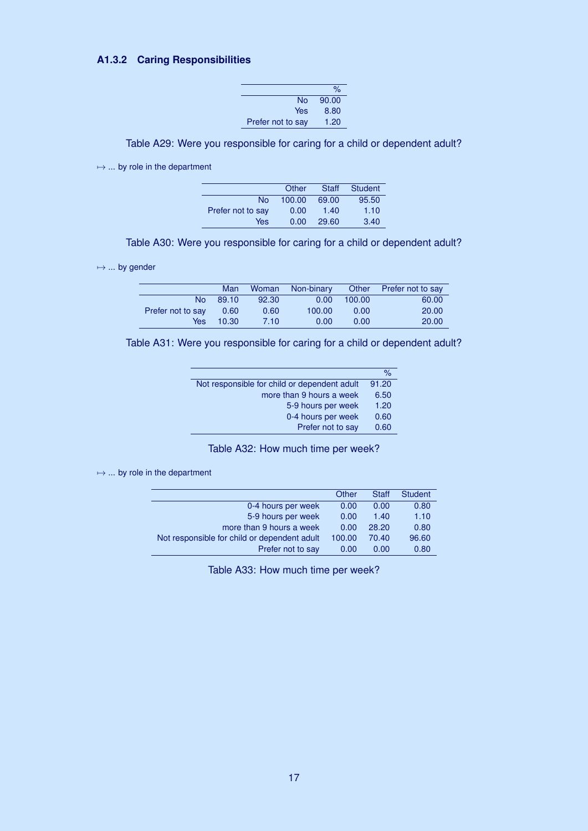## **A1.3.2 Caring Responsibilities**

|                   | $\%$  |
|-------------------|-------|
| N٥                | 90.00 |
| Yes               | 8.80  |
| Prefer not to say | 1.20  |

<span id="page-16-0"></span>Table A29: Were you responsible for caring for a child or dependent adult?

 $\mapsto$  ... by role in the department

|                   | Other  | Staff | Student |
|-------------------|--------|-------|---------|
| No                | 100.00 | 69.00 | 95.50   |
| Prefer not to say | 0.00   | 1.40  | 1.10    |
| Yes               | 0.00   | 29.60 | 3.40    |

<span id="page-16-1"></span>Table A30: Were you responsible for caring for a child or dependent adult?

 $\mapsto$  ... by gender

|                   | Man   |       | Woman Non-binary |        | Other Prefer not to say |
|-------------------|-------|-------|------------------|--------|-------------------------|
| No.               | 89.10 | 92.30 | 0.00             | 100.00 | 60.00                   |
| Prefer not to say | 0.60  | 0.60  | 100.00           | 0.00   | 20.00                   |
| Yes               | 10.30 | 7.10  | 0.00             | 0.00   | 20.00                   |

|  |  | Table A31: Were you responsible for caring for a child or dependent adult? |
|--|--|----------------------------------------------------------------------------|
|  |  |                                                                            |

<span id="page-16-2"></span>

|                                              | $\%$  |
|----------------------------------------------|-------|
| Not responsible for child or dependent adult | 91.20 |
| more than 9 hours a week                     | 6.50  |
| 5-9 hours per week                           | 1.20  |
| 0-4 hours per week                           | 0.60  |
| Prefer not to say                            | 0.60  |

<span id="page-16-3"></span>Table A32: How much time per week?

 $\mapsto$  ... by role in the department

|                                              | Other  | <b>Staff</b> | <b>Student</b> |
|----------------------------------------------|--------|--------------|----------------|
| 0-4 hours per week                           | 0.00   | 0.00         | 0.80           |
| 5-9 hours per week                           | 0.00   | 1.40         | 1.10           |
| more than 9 hours a week                     | 0.00   | 28.20        | 0.80           |
| Not responsible for child or dependent adult | 100.00 | 70.40        | 96.60          |
| Prefer not to say                            | 0.00   | 0.00         | 0.80           |

Table A33: How much time per week?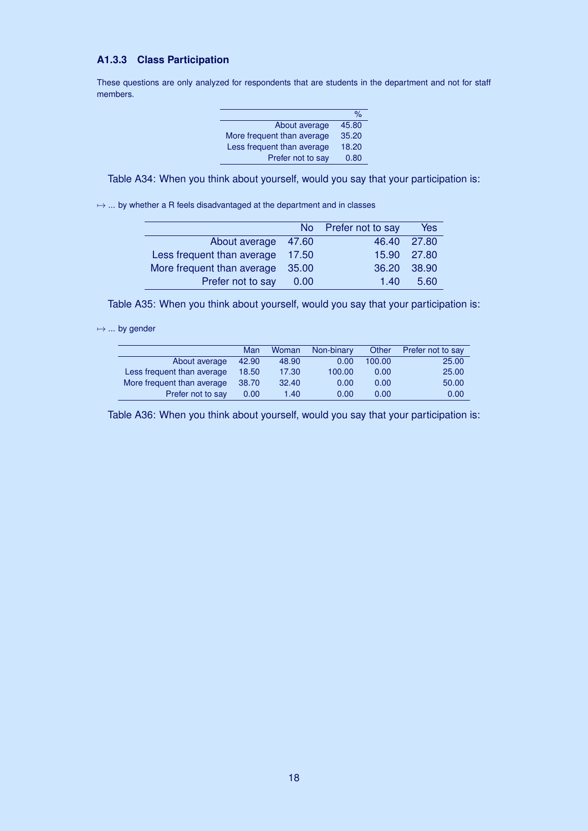## **A1.3.3 Class Participation**

These questions are only analyzed for respondents that are students in the department and not for staff members.

|                            | %     |
|----------------------------|-------|
| About average              | 45.80 |
| More frequent than average | 35.20 |
| Less frequent than average | 18.20 |
| Prefer not to say          | 0.80  |

Table A34: When you think about yourself, would you say that your participation is:

 $\mapsto$  ... by whether a R feels disadvantaged at the department and in classes

|                            |       | No Prefer not to say | Yes   |
|----------------------------|-------|----------------------|-------|
| About average 47.60        |       | 46.40 27.80          |       |
| Less frequent than average | 17.50 | 15.90 27.80          |       |
| More frequent than average | 35.00 | 36.20                | 38.90 |
| Prefer not to say          | 0.00  | 140                  | 5.60  |

Table A35: When you think about yourself, would you say that your participation is:

 $\mapsto$  ... by gender

|                            | Man   | Woman | Non-binary | Other  | Prefer not to say |
|----------------------------|-------|-------|------------|--------|-------------------|
| About average              | 42.90 | 48.90 | 0.00       | 100.00 | 25.00             |
| Less frequent than average | 18.50 | 17.30 | 100.00     | 0.00   | 25.00             |
| More frequent than average | 38.70 | 32.40 | 0.00       | 0.00   | 50.00             |
| Prefer not to say          | 0.00  | 1.40  | 0.00       | 0.00   | 0.00              |

Table A36: When you think about yourself, would you say that your participation is: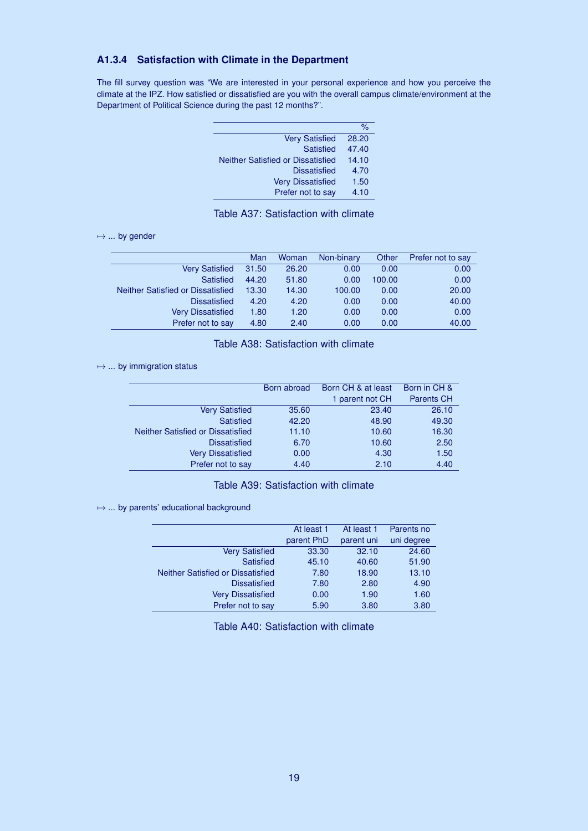## **A1.3.4 Satisfaction with Climate in the Department**

The fill survey question was "We are interested in your personal experience and how you perceive the climate at the IPZ. How satisfied or dissatisfied are you with the overall campus climate/environment at the Department of Political Science during the past 12 months?".

|                                          | $\%$  |
|------------------------------------------|-------|
| <b>Very Satisfied</b>                    | 28.20 |
| <b>Satisfied</b>                         | 47.40 |
| <b>Neither Satisfied or Dissatisfied</b> | 14.10 |
| <b>Dissatisfied</b>                      | 4.70  |
| <b>Very Dissatisfied</b>                 | 1.50  |
| Prefer not to say                        | 4.10  |
|                                          |       |

## <span id="page-18-0"></span>Table A37: Satisfaction with climate

 $\mapsto$  ... by gender

|                                   | Man   | Woman | Non-binary | Other  | Prefer not to say |
|-----------------------------------|-------|-------|------------|--------|-------------------|
| <b>Very Satisfied</b>             | 31.50 | 26.20 | 0.00       | 0.00   | 0.00              |
| <b>Satisfied</b>                  | 44.20 | 51.80 | 0.00       | 100.00 | 0.00              |
| Neither Satisfied or Dissatisfied | 13.30 | 14.30 | 100.00     | 0.00   | 20.00             |
| <b>Dissatisfied</b>               | 4.20  | 4.20  | 0.00       | 0.00   | 40.00             |
| <b>Very Dissatisfied</b>          | 1.80  | 1.20  | 0.00       | 0.00   | 0.00              |
| Prefer not to say                 | 4.80  | 2.40  | 0.00       | 0.00   | 40.00             |

## <span id="page-18-1"></span>Table A38: Satisfaction with climate

#### $\mapsto$  ... by immigration status

|                                   | Born abroad | Born CH & at least | Born in CH &      |
|-----------------------------------|-------------|--------------------|-------------------|
|                                   |             | 1 parent not CH    | <b>Parents CH</b> |
| <b>Very Satisfied</b>             | 35.60       | 23.40              | 26.10             |
| Satisfied                         | 42.20       | 48.90              | 49.30             |
| Neither Satisfied or Dissatisfied | 11.10       | 10.60              | 16.30             |
| <b>Dissatisfied</b>               | 6.70        | 10.60              | 2.50              |
| <b>Very Dissatisfied</b>          | 0.00        | 4.30               | 1.50              |
| Prefer not to say                 | 4.40        | 2.10               | 4.40              |

## <span id="page-18-2"></span>Table A39: Satisfaction with climate

 $→ ...$  by parents' educational background

|                                   | At least 1 | At least 1 | Parents no |
|-----------------------------------|------------|------------|------------|
|                                   | parent PhD | parent uni | uni degree |
| <b>Very Satisfied</b>             | 33.30      | 32.10      | 24.60      |
| <b>Satisfied</b>                  | 45.10      | 40.60      | 51.90      |
| Neither Satisfied or Dissatisfied | 7.80       | 18.90      | 13.10      |
| <b>Dissatisfied</b>               | 7.80       | 2.80       | 4.90       |
| <b>Very Dissatisfied</b>          | 0.00       | 1.90       | 1.60       |
| Prefer not to say                 | 5.90       | 3.80       | 3.80       |

<span id="page-18-3"></span>Table A40: Satisfaction with climate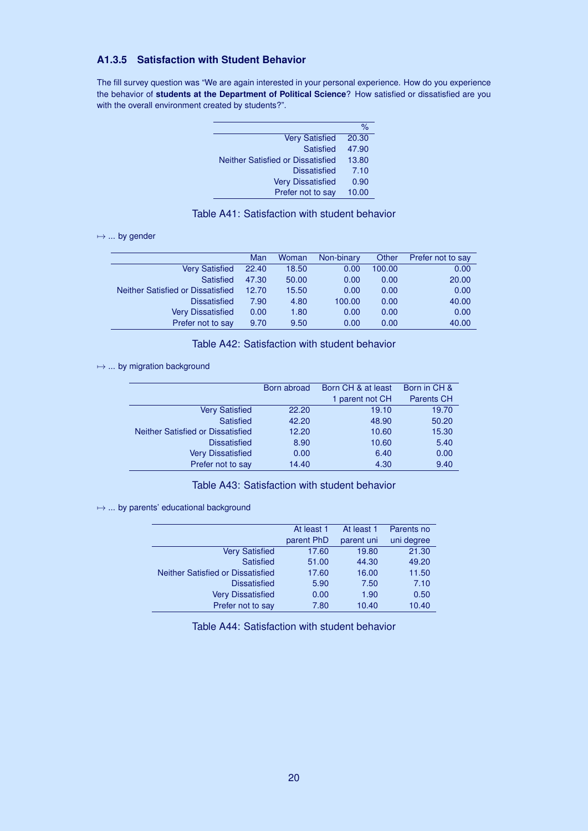## **A1.3.5 Satisfaction with Student Behavior**

The fill survey question was "We are again interested in your personal experience. How do you experience the behavior of **students at the Department of Political Science**? How satisfied or dissatisfied are you with the overall environment created by students?".

|                                          | %     |
|------------------------------------------|-------|
| <b>Very Satisfied</b>                    | 20.30 |
| <b>Satisfied</b>                         | 47.90 |
| <b>Neither Satisfied or Dissatisfied</b> | 13.80 |
| <b>Dissatisfied</b>                      | 7.10  |
| <b>Very Dissatisfied</b>                 | 0.90  |
| Prefer not to say                        | 10.00 |
|                                          |       |

## <span id="page-19-0"></span>Table A41: Satisfaction with student behavior

#### $\mapsto$  ... by gender

|                                   | Man   | Woman | Non-binary | Other  | Prefer not to say |
|-----------------------------------|-------|-------|------------|--------|-------------------|
| <b>Very Satisfied</b>             | 22.40 | 18.50 | 0.00       | 100.00 | 0.00              |
| <b>Satisfied</b>                  | 47.30 | 50.00 | 0.00       | 0.00   | 20.00             |
| Neither Satisfied or Dissatisfied | 12.70 | 15.50 | 0.00       | 0.00   | 0.00              |
| <b>Dissatisfied</b>               | 7.90  | 4.80  | 100.00     | 0.00   | 40.00             |
| <b>Very Dissatisfied</b>          | 0.00  | 1.80  | 0.00       | 0.00   | 0.00              |
| Prefer not to say                 | 9.70  | 9.50  | 0.00       | 0.00   | 40.00             |

## <span id="page-19-1"></span>Table A42: Satisfaction with student behavior

#### $→ ...$  by migration background

| Born abroad | Born CH & at least | Born in CH &      |
|-------------|--------------------|-------------------|
|             | 1 parent not CH    | <b>Parents CH</b> |
| 22.20       | 19.10              | 19.70             |
| 42.20       | 48.90              | 50.20             |
| 12.20       | 10.60              | 15.30             |
| 8.90        | 10.60              | 5.40              |
| 0.00        | 6.40               | 0.00              |
| 14.40       | 4.30               | 9.40              |
|             |                    |                   |

## <span id="page-19-2"></span>Table A43: Satisfaction with student behavior

#### $→ ...$  by parents' educational background

|                                   | At least 1 | At least 1 | Parents no |
|-----------------------------------|------------|------------|------------|
|                                   | parent PhD | parent uni | uni degree |
| <b>Very Satisfied</b>             | 17.60      | 19.80      | 21.30      |
| <b>Satisfied</b>                  | 51.00      | 44.30      | 49.20      |
| Neither Satisfied or Dissatisfied | 17.60      | 16.00      | 11.50      |
| <b>Dissatisfied</b>               | 5.90       | 7.50       | 7.10       |
| <b>Very Dissatisfied</b>          | 0.00       | 1.90       | 0.50       |
| Prefer not to say                 | 7.80       | 10.40      | 10.40      |

Table A44: Satisfaction with student behavior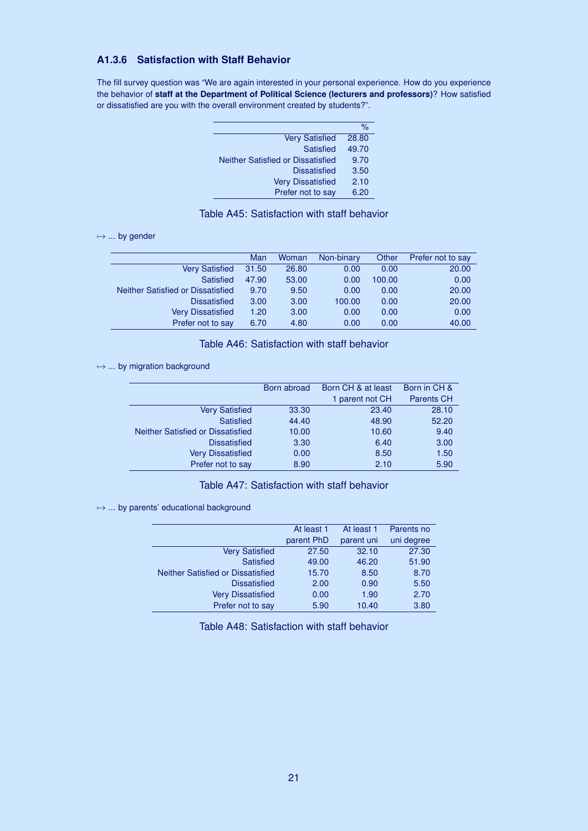## **A1.3.6 Satisfaction with Staff Behavior**

The fill survey question was "We are again interested in your personal experience. How do you experience the behavior of **staff at the Department of Political Science (lecturers and professors)**? How satisfied or dissatisfied are you with the overall environment created by students?".

|                                          | ℅     |
|------------------------------------------|-------|
| <b>Very Satisfied</b>                    | 28.80 |
| <b>Satisfied</b>                         | 49.70 |
| <b>Neither Satisfied or Dissatisfied</b> | 9.70  |
| <b>Dissatisfied</b>                      | 3.50  |
| <b>Very Dissatisfied</b>                 | 2.10  |
| Prefer not to say                        | 6.20  |
|                                          |       |

## <span id="page-20-0"></span>Table A45: Satisfaction with staff behavior

#### $\mapsto$  ... by gender

|                                   | Man   | Woman | Non-binary | Other  | Prefer not to say |
|-----------------------------------|-------|-------|------------|--------|-------------------|
| <b>Very Satisfied</b>             | 31.50 | 26.80 | 0.00       | 0.00   | 20.00             |
| Satisfied                         | 47.90 | 53.00 | 0.00       | 100.00 | 0.00              |
| Neither Satisfied or Dissatisfied | 9.70  | 9.50  | 0.00       | 0.00   | 20.00             |
| <b>Dissatisfied</b>               | 3.00  | 3.00  | 100.00     | 0.00   | 20.00             |
| <b>Very Dissatisfied</b>          | 1.20  | 3.00  | 0.00       | 0.00   | 0.00              |
| Prefer not to say                 | 6.70  | 4.80  | 0.00       | 0.00   | 40.00             |

## Table A46: Satisfaction with staff behavior

#### $→ ...$  by migration background

| Born abroad | Born CH & at least | Born in CH &      |
|-------------|--------------------|-------------------|
|             | 1 parent not CH    | <b>Parents CH</b> |
| 33.30       | 23.40              | 28.10             |
| 44.40       | 48.90              | 52.20             |
| 10.00       | 10.60              | 9.40              |
| 3.30        | 6.40               | 3.00              |
| 0.00        | 8.50               | 1.50              |
| 8.90        | 2.10               | 5.90              |
|             |                    |                   |

## Table A47: Satisfaction with staff behavior

#### $→ ...$  by parents' educational background

|                                   | At least 1 | At least 1 | Parents no |
|-----------------------------------|------------|------------|------------|
|                                   | parent PhD | parent uni | uni degree |
| <b>Very Satisfied</b>             | 27.50      | 32.10      | 27.30      |
| <b>Satisfied</b>                  | 49.00      | 46.20      | 51.90      |
| Neither Satisfied or Dissatisfied | 15.70      | 8.50       | 8.70       |
| <b>Dissatisfied</b>               | 2.00       | 0.90       | 5.50       |
| <b>Very Dissatisfied</b>          | 0.00       | 1.90       | 2.70       |
| Prefer not to say                 | 5.90       | 10.40      | 3.80       |

Table A48: Satisfaction with staff behavior